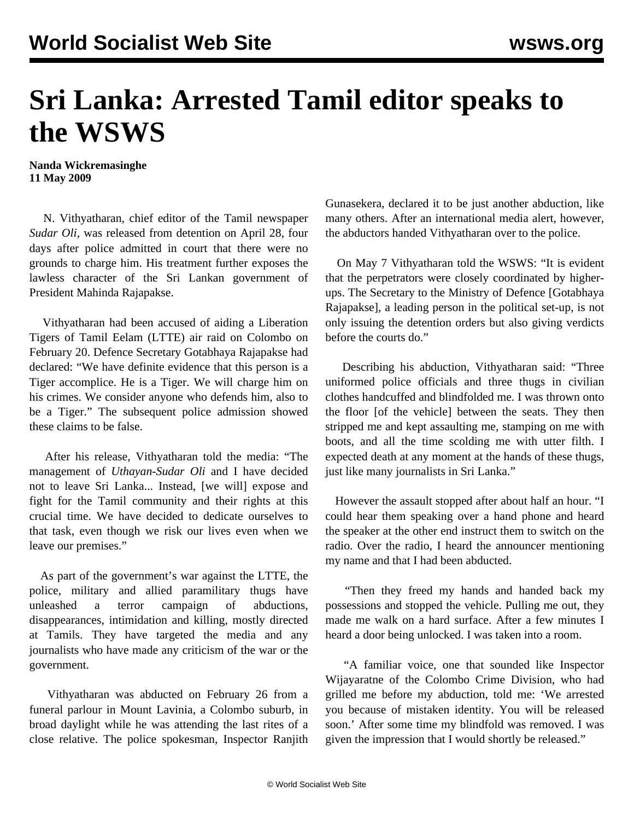## **Sri Lanka: Arrested Tamil editor speaks to the WSWS**

**Nanda Wickremasinghe 11 May 2009**

 N. Vithyatharan, chief editor of the Tamil newspaper *Sudar Oli,* was released from detention on April 28, four days after police admitted in court that there were no grounds to charge him. His treatment further exposes the lawless character of the Sri Lankan government of President Mahinda Rajapakse.

 Vithyatharan had been accused of aiding a Liberation Tigers of Tamil Eelam (LTTE) air raid on Colombo on February 20. Defence Secretary Gotabhaya Rajapakse had declared: "We have definite evidence that this person is a Tiger accomplice. He is a Tiger. We will charge him on his crimes. We consider anyone who defends him, also to be a Tiger." The subsequent police admission showed these claims to be false.

 After his release, Vithyatharan told the media: "The management of *Uthayan-Sudar Oli* and I have decided not to leave Sri Lanka... Instead, [we will] expose and fight for the Tamil community and their rights at this crucial time. We have decided to dedicate ourselves to that task, even though we risk our lives even when we leave our premises."

 As part of the government's war against the LTTE, the police, military and allied paramilitary thugs have unleashed a terror campaign of abductions, disappearances, intimidation and killing, mostly directed at Tamils. They have targeted the media and any journalists who have made any criticism of the war or the government.

 Vithyatharan was abducted on February 26 from a funeral parlour in Mount Lavinia, a Colombo suburb, in broad daylight while he was attending the last rites of a close relative. The police spokesman, Inspector Ranjith Gunasekera, declared it to be just another abduction, like many others. After an international media alert, however, the abductors handed Vithyatharan over to the police.

 On May 7 Vithyatharan told the WSWS: "It is evident that the perpetrators were closely coordinated by higherups. The Secretary to the Ministry of Defence [Gotabhaya Rajapakse], a leading person in the political set-up, is not only issuing the detention orders but also giving verdicts before the courts do."

 Describing his abduction, Vithyatharan said: "Three uniformed police officials and three thugs in civilian clothes handcuffed and blindfolded me. I was thrown onto the floor [of the vehicle] between the seats. They then stripped me and kept assaulting me, stamping on me with boots, and all the time scolding me with utter filth. I expected death at any moment at the hands of these thugs, just like many journalists in Sri Lanka."

 However the assault stopped after about half an hour. "I could hear them speaking over a hand phone and heard the speaker at the other end instruct them to switch on the radio. Over the radio, I heard the announcer mentioning my name and that I had been abducted.

 "Then they freed my hands and handed back my possessions and stopped the vehicle. Pulling me out, they made me walk on a hard surface. After a few minutes I heard a door being unlocked. I was taken into a room.

 "A familiar voice, one that sounded like Inspector Wijayaratne of the Colombo Crime Division, who had grilled me before my abduction, told me: 'We arrested you because of mistaken identity. You will be released soon.' After some time my blindfold was removed. I was given the impression that I would shortly be released."